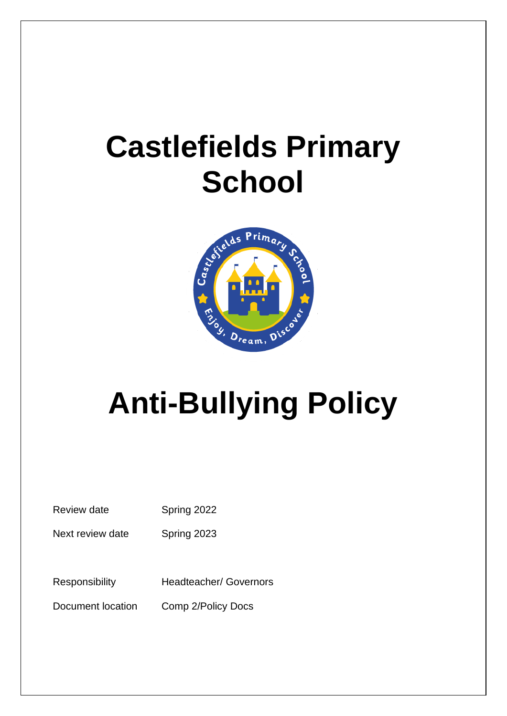## **Castlefields Primary School**



# **Anti-Bullying Policy**

Review date Spring 2022

Next review date Spring 2023

Responsibility Headteacher/ Governors

Document location Comp 2/Policy Docs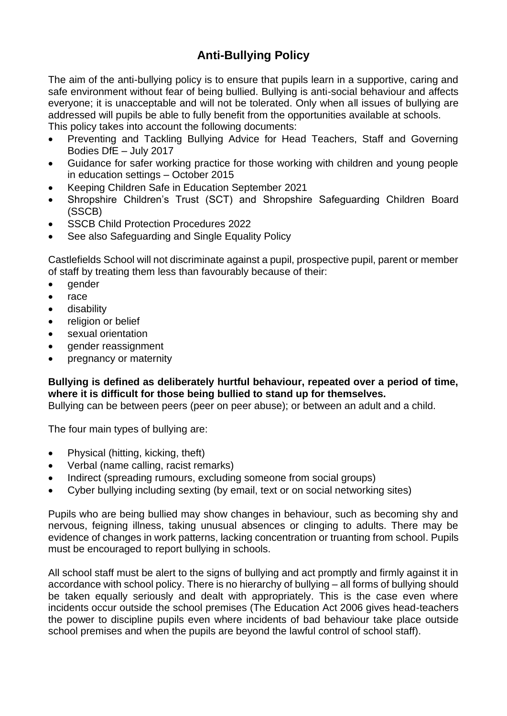### **Anti-Bullying Policy**

The aim of the anti-bullying policy is to ensure that pupils learn in a supportive, caring and safe environment without fear of being bullied. Bullying is anti-social behaviour and affects everyone; it is unacceptable and will not be tolerated. Only when all issues of bullying are addressed will pupils be able to fully benefit from the opportunities available at schools.

This policy takes into account the following documents:

- Preventing and Tackling Bullying Advice for Head Teachers, Staff and Governing Bodies DfE – July 2017
- Guidance for safer working practice for those working with children and young people in education settings – October 2015
- Keeping Children Safe in Education September 2021
- Shropshire Children's Trust (SCT) and Shropshire Safeguarding Children Board (SSCB)
- SSCB Child Protection Procedures 2022
- See also Safeguarding and Single Equality Policy

Castlefields School will not discriminate against a pupil, prospective pupil, parent or member of staff by treating them less than favourably because of their:

- gender
- race
- disability
- religion or belief
- sexual orientation
- gender reassignment
- pregnancy or maternity

#### **Bullying is defined as deliberately hurtful behaviour, repeated over a period of time, where it is difficult for those being bullied to stand up for themselves.**

Bullying can be between peers (peer on peer abuse); or between an adult and a child.

The four main types of bullying are:

- Physical (hitting, kicking, theft)
- Verbal (name calling, racist remarks)
- Indirect (spreading rumours, excluding someone from social groups)
- Cyber bullying including sexting (by email, text or on social networking sites)

Pupils who are being bullied may show changes in behaviour, such as becoming shy and nervous, feigning illness, taking unusual absences or clinging to adults. There may be evidence of changes in work patterns, lacking concentration or truanting from school. Pupils must be encouraged to report bullying in schools.

All school staff must be alert to the signs of bullying and act promptly and firmly against it in accordance with school policy. There is no hierarchy of bullying – all forms of bullying should be taken equally seriously and dealt with appropriately. This is the case even where incidents occur outside the school premises (The Education Act 2006 gives head-teachers the power to discipline pupils even where incidents of bad behaviour take place outside school premises and when the pupils are beyond the lawful control of school staff).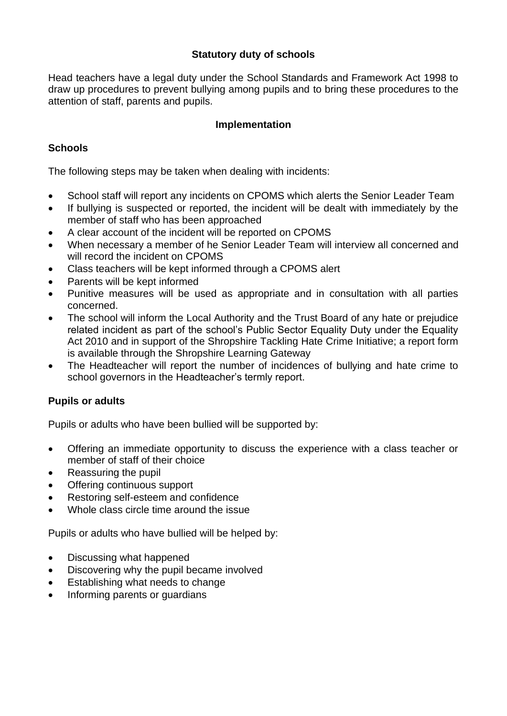#### **Statutory duty of schools**

Head teachers have a legal duty under the School Standards and Framework Act 1998 to draw up procedures to prevent bullying among pupils and to bring these procedures to the attention of staff, parents and pupils.

#### **Implementation**

#### **Schools**

The following steps may be taken when dealing with incidents:

- School staff will report any incidents on CPOMS which alerts the Senior Leader Team
- If bullying is suspected or reported, the incident will be dealt with immediately by the member of staff who has been approached
- A clear account of the incident will be reported on CPOMS
- When necessary a member of he Senior Leader Team will interview all concerned and will record the incident on CPOMS
- Class teachers will be kept informed through a CPOMS alert
- Parents will be kept informed
- Punitive measures will be used as appropriate and in consultation with all parties concerned.
- The school will inform the Local Authority and the Trust Board of any hate or prejudice related incident as part of the school's Public Sector Equality Duty under the Equality Act 2010 and in support of the Shropshire Tackling Hate Crime Initiative; a report form is available through the Shropshire Learning Gateway
- The Headteacher will report the number of incidences of bullying and hate crime to school governors in the Headteacher's termly report.

#### **Pupils or adults**

Pupils or adults who have been bullied will be supported by:

- Offering an immediate opportunity to discuss the experience with a class teacher or member of staff of their choice
- Reassuring the pupil
- Offering continuous support
- Restoring self-esteem and confidence
- Whole class circle time around the issue

Pupils or adults who have bullied will be helped by:

- Discussing what happened
- Discovering why the pupil became involved
- Establishing what needs to change
- Informing parents or guardians